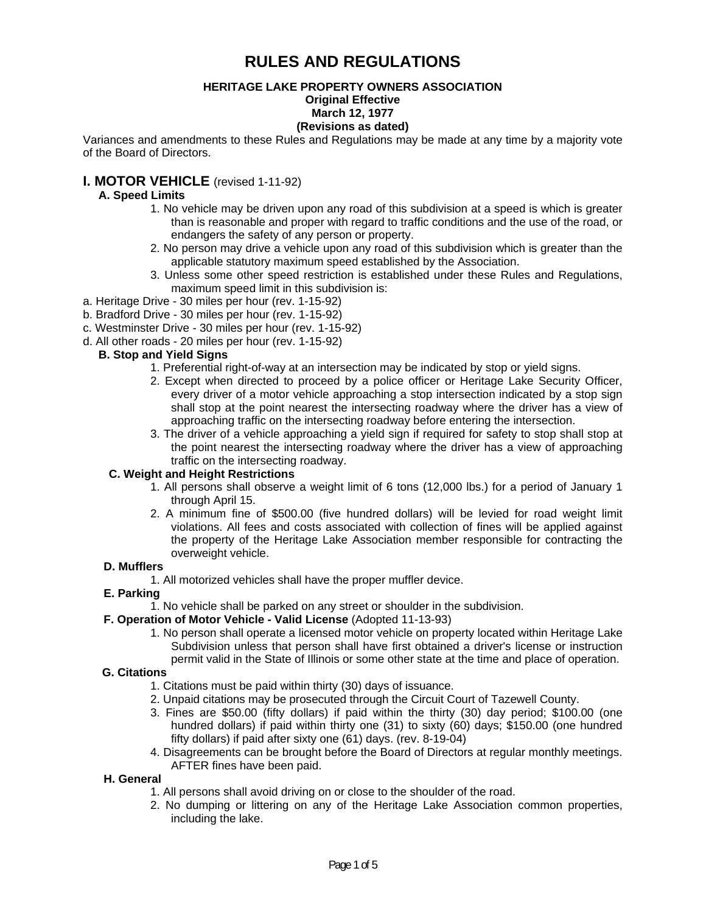# **RULES AND REGULATIONS**

#### **HERITAGE LAKE PROPERTY OWNERS ASSOCIATION Original Effective March 12, 1977**

#### **(Revisions as dated)**

Variances and amendments to these Rules and Regulations may be made at any time by a majority vote of the Board of Directors.

### **I. MOTOR VEHICLE** (revised 1-11-92)

### **A. Speed Limits**

- 1. No vehicle may be driven upon any road of this subdivision at a speed is which is greater than is reasonable and proper with regard to traffic conditions and the use of the road, or endangers the safety of any person or property.
- 2. No person may drive a vehicle upon any road of this subdivision which is greater than the applicable statutory maximum speed established by the Association.
- 3. Unless some other speed restriction is established under these Rules and Regulations, maximum speed limit in this subdivision is:
- a. Heritage Drive 30 miles per hour (rev. 1-15-92)
- b. Bradford Drive 30 miles per hour (rev. 1-15-92)
- c. Westminster Drive 30 miles per hour (rev. 1-15-92)
- d. All other roads 20 miles per hour (rev. 1-15-92)

#### **B. Stop and Yield Signs**

- 1. Preferential right-of-way at an intersection may be indicated by stop or yield signs.
- 2. Except when directed to proceed by a police officer or Heritage Lake Security Officer, every driver of a motor vehicle approaching a stop intersection indicated by a stop sign shall stop at the point nearest the intersecting roadway where the driver has a view of approaching traffic on the intersecting roadway before entering the intersection.
- 3. The driver of a vehicle approaching a yield sign if required for safety to stop shall stop at the point nearest the intersecting roadway where the driver has a view of approaching traffic on the intersecting roadway.

#### **C. Weight and Height Restrictions**

- 1. All persons shall observe a weight limit of 6 tons (12,000 lbs.) for a period of January 1 through April 15.
- 2. A minimum fine of \$500.00 (five hundred dollars) will be levied for road weight limit violations. All fees and costs associated with collection of fines will be applied against the property of the Heritage Lake Association member responsible for contracting the overweight vehicle.

#### **D. Mufflers**

1. All motorized vehicles shall have the proper muffler device.

#### **E. Parking**

1. No vehicle shall be parked on any street or shoulder in the subdivision.

#### **F. Operation of Motor Vehicle - Valid License** (Adopted 11-13-93)

1. No person shall operate a licensed motor vehicle on property located within Heritage Lake Subdivision unless that person shall have first obtained a driver's license or instruction permit valid in the State of Illinois or some other state at the time and place of operation.

#### **G. Citations**

- 1. Citations must be paid within thirty (30) days of issuance.
- 2. Unpaid citations may be prosecuted through the Circuit Court of Tazewell County.
- 3. Fines are \$50.00 (fifty dollars) if paid within the thirty (30) day period; \$100.00 (one hundred dollars) if paid within thirty one (31) to sixty (60) days; \$150.00 (one hundred fifty dollars) if paid after sixty one (61) days. (rev. 8-19-04)
- 4. Disagreements can be brought before the Board of Directors at regular monthly meetings. AFTER fines have been paid.

#### **H. General**

- 1. All persons shall avoid driving on or close to the shoulder of the road.
- 2. No dumping or littering on any of the Heritage Lake Association common properties, including the lake.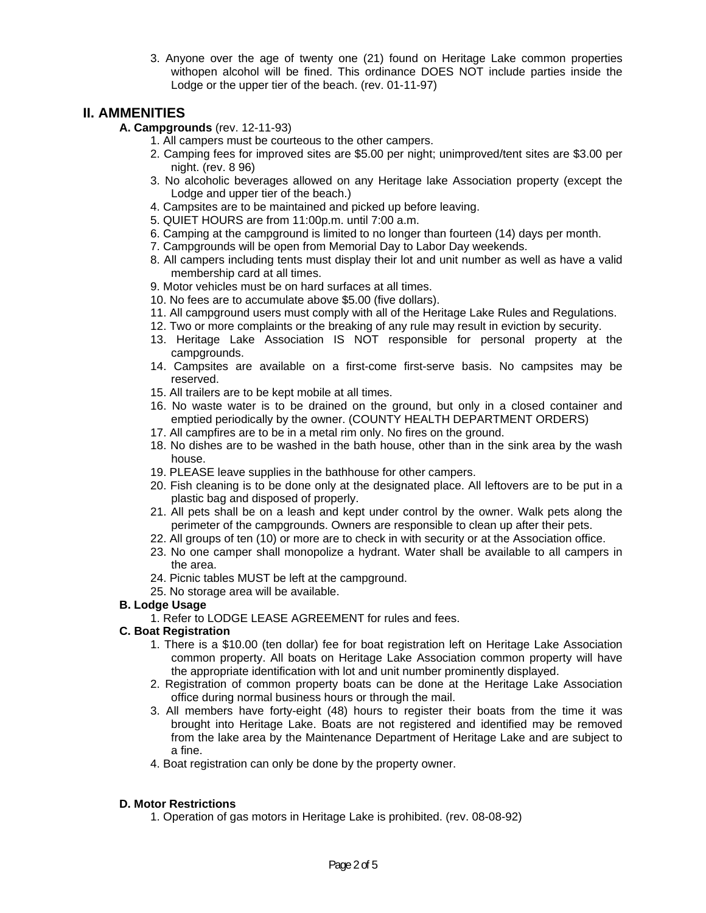3. Anyone over the age of twenty one (21) found on Heritage Lake common properties withopen alcohol will be fined. This ordinance DOES NOT include parties inside the Lodge or the upper tier of the beach. (rev. 01-11-97)

## **II. AMMENITIES**

- **A. Campgrounds** (rev. 12-11-93)
	- 1. All campers must be courteous to the other campers.
	- 2. Camping fees for improved sites are \$5.00 per night; unimproved/tent sites are \$3.00 per night. (rev. 8 96)
	- 3. No alcoholic beverages allowed on any Heritage lake Association property (except the Lodge and upper tier of the beach.)
	- 4. Campsites are to be maintained and picked up before leaving.
	- 5. QUIET HOURS are from 11:00p.m. until 7:00 a.m.
	- 6. Camping at the campground is limited to no longer than fourteen (14) days per month.
	- 7. Campgrounds will be open from Memorial Day to Labor Day weekends.
	- 8. All campers including tents must display their lot and unit number as well as have a valid membership card at all times.
	- 9. Motor vehicles must be on hard surfaces at all times.
	- 10. No fees are to accumulate above \$5.00 (five dollars).
	- 11. All campground users must comply with all of the Heritage Lake Rules and Regulations.
	- 12. Two or more complaints or the breaking of any rule may result in eviction by security.
	- 13. Heritage Lake Association IS NOT responsible for personal property at the campgrounds.
	- 14. Campsites are available on a first-come first-serve basis. No campsites may be reserved.
	- 15. All trailers are to be kept mobile at all times.
	- 16. No waste water is to be drained on the ground, but only in a closed container and emptied periodically by the owner. (COUNTY HEALTH DEPARTMENT ORDERS)
	- 17. All campfires are to be in a metal rim only. No fires on the ground.
	- 18. No dishes are to be washed in the bath house, other than in the sink area by the wash house.
	- 19. PLEASE leave supplies in the bathhouse for other campers.
	- 20. Fish cleaning is to be done only at the designated place. All leftovers are to be put in a plastic bag and disposed of properly.
	- 21. All pets shall be on a leash and kept under control by the owner. Walk pets along the perimeter of the campgrounds. Owners are responsible to clean up after their pets.
	- 22. All groups of ten (10) or more are to check in with security or at the Association office.
	- 23. No one camper shall monopolize a hydrant. Water shall be available to all campers in the area.
	- 24. Picnic tables MUST be left at the campground.
	- 25. No storage area will be available.

#### **B. Lodge Usage**

1. Refer to LODGE LEASE AGREEMENT for rules and fees.

#### **C. Boat Registration**

- 1. There is a \$10.00 (ten dollar) fee for boat registration left on Heritage Lake Association common property. All boats on Heritage Lake Association common property will have the appropriate identification with lot and unit number prominently displayed.
- 2. Registration of common property boats can be done at the Heritage Lake Association office during normal business hours or through the mail.
- 3. All members have forty-eight (48) hours to register their boats from the time it was brought into Heritage Lake. Boats are not registered and identified may be removed from the lake area by the Maintenance Department of Heritage Lake and are subject to a fine.
- 4. Boat registration can only be done by the property owner.

#### **D. Motor Restrictions**

1. Operation of gas motors in Heritage Lake is prohibited. (rev. 08-08-92)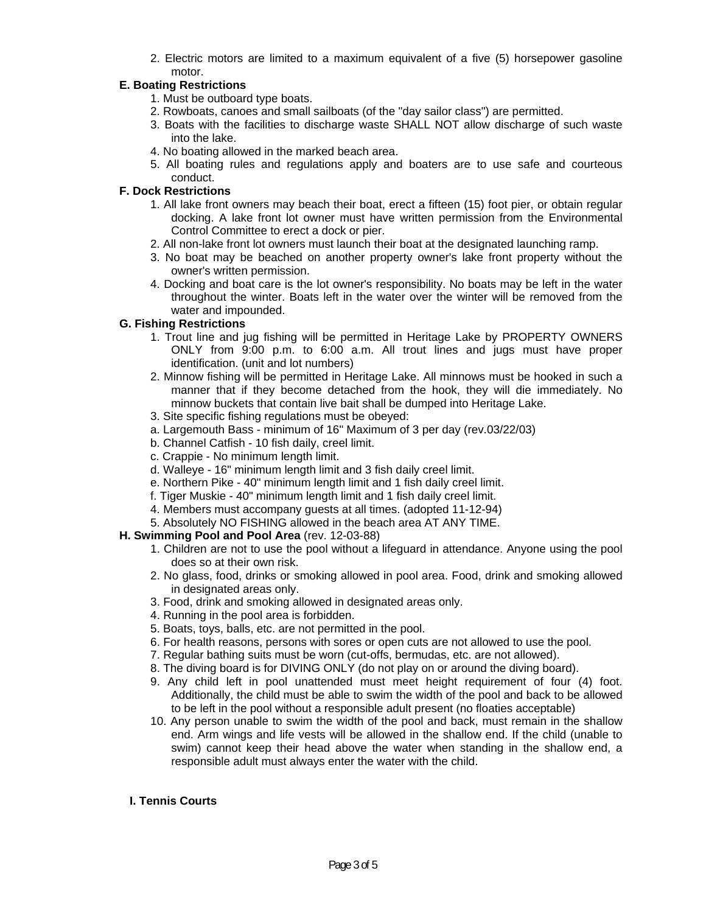2. Electric motors are limited to a maximum equivalent of a five (5) horsepower gasoline motor.

#### **E. Boating Restrictions**

- 1. Must be outboard type boats.
- 2. Rowboats, canoes and small sailboats (of the "day sailor class") are permitted.
- 3. Boats with the facilities to discharge waste SHALL NOT allow discharge of such waste into the lake.
- 4. No boating allowed in the marked beach area.
- 5. All boating rules and regulations apply and boaters are to use safe and courteous conduct.

#### **F. Dock Restrictions**

- 1. All lake front owners may beach their boat, erect a fifteen (15) foot pier, or obtain regular docking. A lake front lot owner must have written permission from the Environmental Control Committee to erect a dock or pier.
- 2. All non-lake front lot owners must launch their boat at the designated launching ramp.
- 3. No boat may be beached on another property owner's lake front property without the owner's written permission.
- 4. Docking and boat care is the lot owner's responsibility. No boats may be left in the water throughout the winter. Boats left in the water over the winter will be removed from the water and impounded.

#### **G. Fishing Restrictions**

- 1. Trout line and jug fishing will be permitted in Heritage Lake by PROPERTY OWNERS ONLY from 9:00 p.m. to 6:00 a.m. All trout lines and jugs must have proper identification. (unit and lot numbers)
- 2. Minnow fishing will be permitted in Heritage Lake. All minnows must be hooked in such a manner that if they become detached from the hook, they will die immediately. No minnow buckets that contain live bait shall be dumped into Heritage Lake.
- 3. Site specific fishing regulations must be obeyed:
- a. Largemouth Bass minimum of 16" Maximum of 3 per day (rev.03/22/03)
- b. Channel Catfish 10 fish daily, creel limit.
- c. Crappie No minimum length limit.
- d. Walleye 16" minimum length limit and 3 fish daily creel limit.
- e. Northern Pike 40" minimum length limit and 1 fish daily creel limit.
- f. Tiger Muskie 40" minimum length limit and 1 fish daily creel limit.
- 4. Members must accompany guests at all times. (adopted 11-12-94)
- 5. Absolutely NO FISHING allowed in the beach area AT ANY TIME.

#### **H. Swimming Pool and Pool Area** (rev. 12-03-88)

- 1. Children are not to use the pool without a lifeguard in attendance. Anyone using the pool does so at their own risk.
- 2. No glass, food, drinks or smoking allowed in pool area. Food, drink and smoking allowed in designated areas only.
- 3. Food, drink and smoking allowed in designated areas only.
- 4. Running in the pool area is forbidden.
- 5. Boats, toys, balls, etc. are not permitted in the pool.
- 6. For health reasons, persons with sores or open cuts are not allowed to use the pool.
- 7. Regular bathing suits must be worn (cut-offs, bermudas, etc. are not allowed).
- 8. The diving board is for DIVING ONLY (do not play on or around the diving board).
- 9. Any child left in pool unattended must meet height requirement of four (4) foot. Additionally, the child must be able to swim the width of the pool and back to be allowed to be left in the pool without a responsible adult present (no floaties acceptable)
- 10. Any person unable to swim the width of the pool and back, must remain in the shallow end. Arm wings and life vests will be allowed in the shallow end. If the child (unable to swim) cannot keep their head above the water when standing in the shallow end, a responsible adult must always enter the water with the child.

#### **I. Tennis Courts**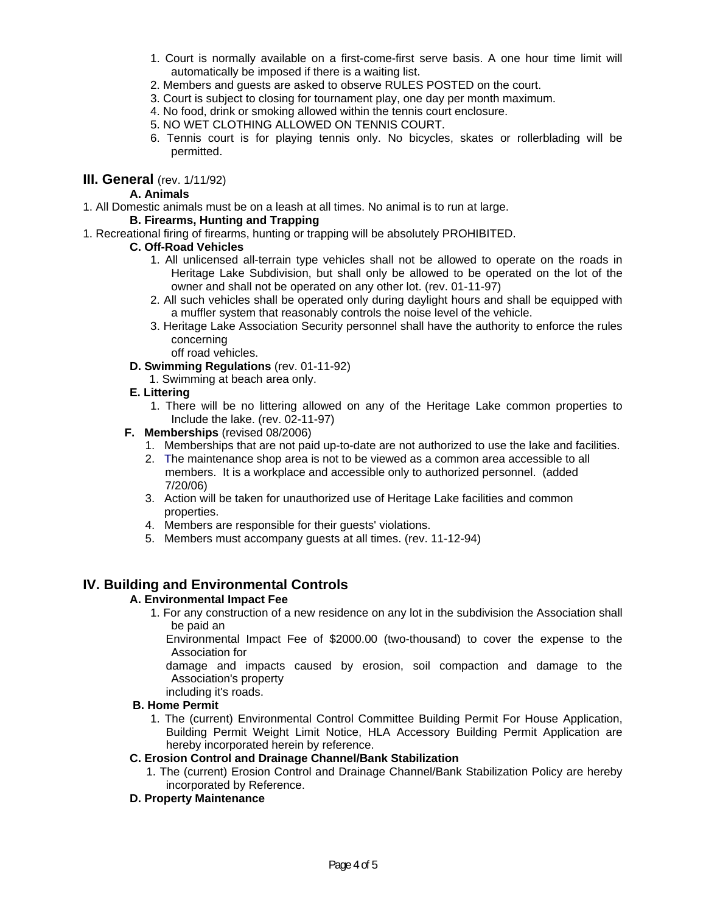- 1. Court is normally available on a first-come-first serve basis. A one hour time limit will automatically be imposed if there is a waiting list.
- 2. Members and guests are asked to observe RULES POSTED on the court.
- 3. Court is subject to closing for tournament play, one day per month maximum.
- 4. No food, drink or smoking allowed within the tennis court enclosure.
- 5. NO WET CLOTHING ALLOWED ON TENNIS COURT.
- 6. Tennis court is for playing tennis only. No bicycles, skates or rollerblading will be permitted.

#### **III. General** (rev. 1/11/92)

#### **A. Animals**

1. All Domestic animals must be on a leash at all times. No animal is to run at large.

#### **B. Firearms, Hunting and Trapping**

1. Recreational firing of firearms, hunting or trapping will be absolutely PROHIBITED.

#### **C. Off-Road Vehicles**

- 1. All unlicensed all-terrain type vehicles shall not be allowed to operate on the roads in Heritage Lake Subdivision, but shall only be allowed to be operated on the lot of the owner and shall not be operated on any other lot. (rev. 01-11-97)
- 2. All such vehicles shall be operated only during daylight hours and shall be equipped with a muffler system that reasonably controls the noise level of the vehicle.
- 3. Heritage Lake Association Security personnel shall have the authority to enforce the rules concerning
	- off road vehicles.
- **D. Swimming Regulations** (rev. 01-11-92)
	- 1. Swimming at beach area only.

#### **E. Littering**

- 1. There will be no littering allowed on any of the Heritage Lake common properties to Include the lake. (rev. 02-11-97)
- **F. Memberships** (revised 08/2006)
	- 1. Memberships that are not paid up-to-date are not authorized to use the lake and facilities.
	- 2. The maintenance shop area is not to be viewed as a common area accessible to all members. It is a workplace and accessible only to authorized personnel. (added 7/20/06)
	- 3. Action will be taken for unauthorized use of Heritage Lake facilities and common properties.
	- 4. Members are responsible for their guests' violations.
	- 5. Members must accompany guests at all times. (rev. 11-12-94)

## **IV. Building and Environmental Controls**

#### **A. Environmental Impact Fee**

1. For any construction of a new residence on any lot in the subdivision the Association shall be paid an

Environmental Impact Fee of \$2000.00 (two-thousand) to cover the expense to the Association for

damage and impacts caused by erosion, soil compaction and damage to the Association's property

including it's roads.

#### **B. Home Permit**

1. The (current) Environmental Control Committee Building Permit For House Application, Building Permit Weight Limit Notice, HLA Accessory Building Permit Application are hereby incorporated herein by reference.

#### **C. Erosion Control and Drainage Channel/Bank Stabilization**

- 1. The (current) Erosion Control and Drainage Channel/Bank Stabilization Policy are hereby incorporated by Reference.
- **D. Property Maintenance**